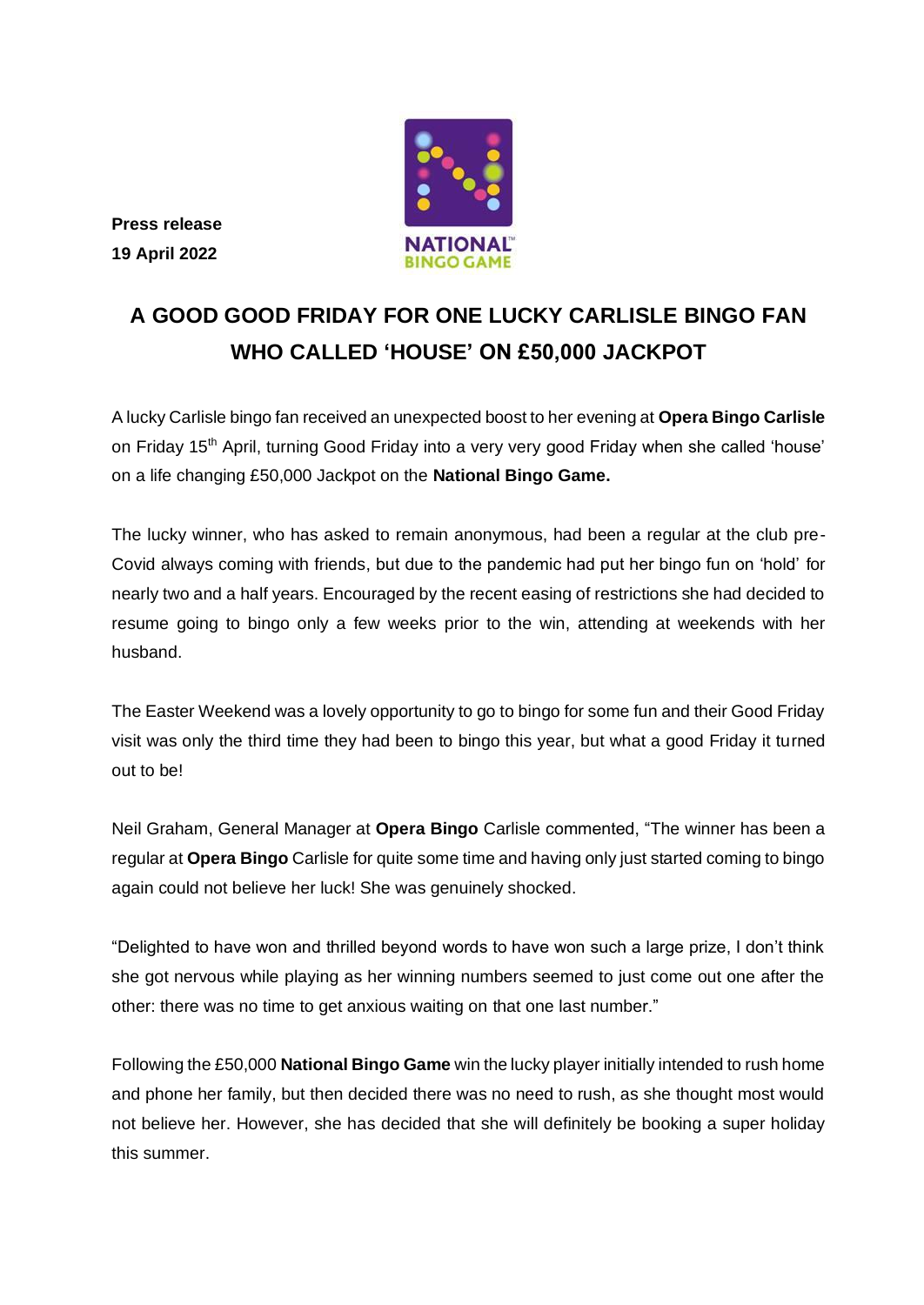

**Press release 19 April 2022**

# **A GOOD GOOD FRIDAY FOR ONE LUCKY CARLISLE BINGO FAN WHO CALLED 'HOUSE' ON £50,000 JACKPOT**

A lucky Carlisle bingo fan received an unexpected boost to her evening at **Opera Bingo Carlisle**  on Friday 15th April, turning Good Friday into a very very good Friday when she called 'house' on a life changing £50,000 Jackpot on the **National Bingo Game.**

The lucky winner, who has asked to remain anonymous, had been a regular at the club pre-Covid always coming with friends, but due to the pandemic had put her bingo fun on 'hold' for nearly two and a half years. Encouraged by the recent easing of restrictions she had decided to resume going to bingo only a few weeks prior to the win, attending at weekends with her husband.

The Easter Weekend was a lovely opportunity to go to bingo for some fun and their Good Friday visit was only the third time they had been to bingo this year, but what a good Friday it turned out to be!

Neil Graham, General Manager at **Opera Bingo** Carlisle commented, "The winner has been a regular at **Opera Bingo** Carlisle for quite some time and having only just started coming to bingo again could not believe her luck! She was genuinely shocked.

"Delighted to have won and thrilled beyond words to have won such a large prize, I don't think she got nervous while playing as her winning numbers seemed to just come out one after the other: there was no time to get anxious waiting on that one last number."

Following the £50,000 **National Bingo Game** win the lucky player initially intended to rush home and phone her family, but then decided there was no need to rush, as she thought most would not believe her. However, she has decided that she will definitely be booking a super holiday this summer.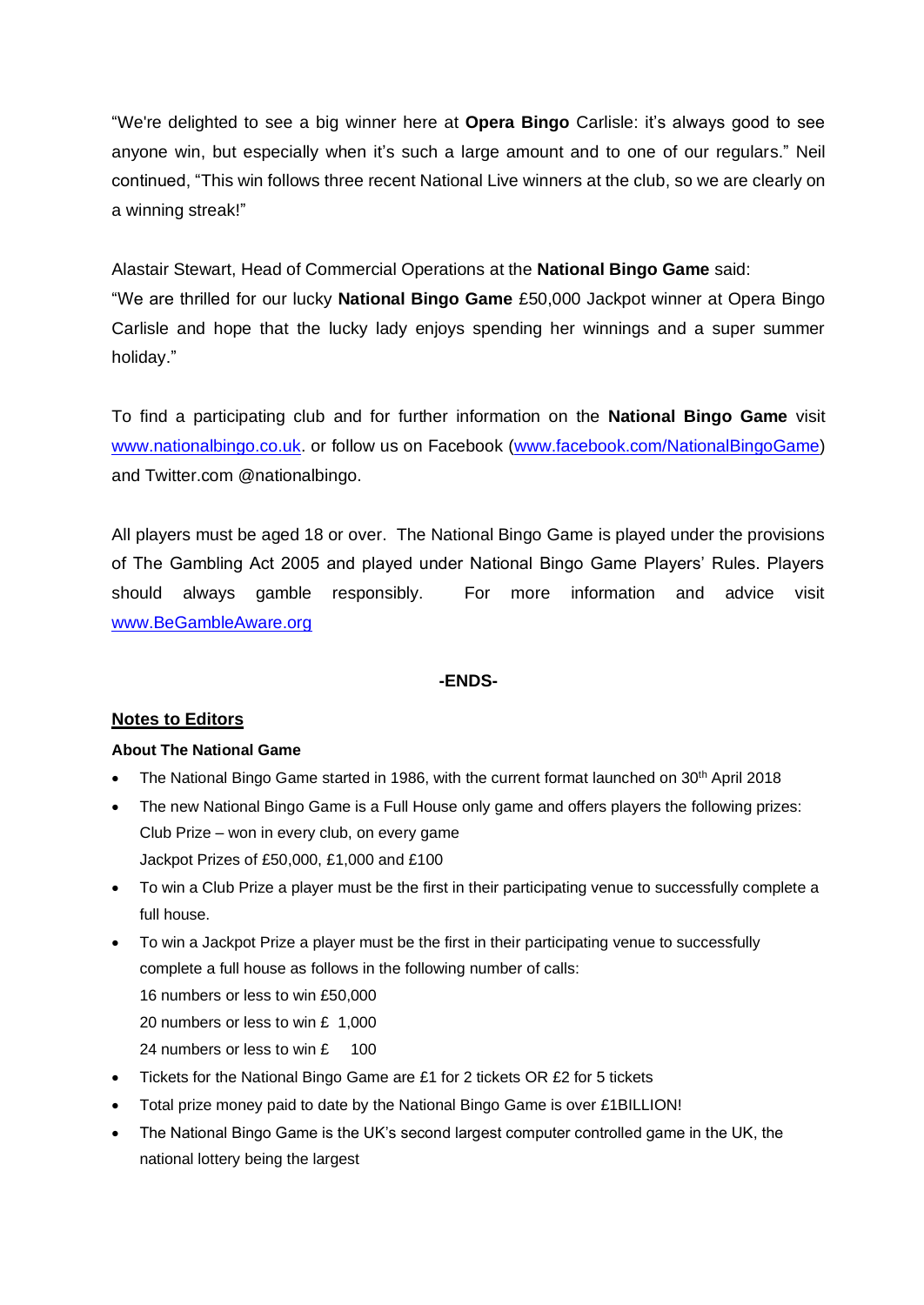"We're delighted to see a big winner here at **Opera Bingo** Carlisle: it's always good to see anyone win, but especially when it's such a large amount and to one of our regulars." Neil continued, "This win follows three recent National Live winners at the club, so we are clearly on a winning streak!"

Alastair Stewart, Head of Commercial Operations at the **National Bingo Game** said: "We are thrilled for our lucky **National Bingo Game** £50,000 Jackpot winner at Opera Bingo Carlisle and hope that the lucky lady enjoys spending her winnings and a super summer holiday."

To find a participating club and for further information on the **National Bingo Game** visit [www.nationalbingo.co.uk.](http://www.nationalbingo.co.uk/) or follow us on Facebook [\(www.facebook.com/NationalBingoGame\)](http://www.facebook.com/NationalBingoGame) and Twitter.com @nationalbingo.

All players must be aged 18 or over. The National Bingo Game is played under the provisions of The Gambling Act 2005 and played under National Bingo Game Players' Rules. Players should always gamble responsibly. For more information and advice visit [www.BeGambleAware.org](http://www.begambleaware.org/)

### **-ENDS-**

## **Notes to Editors**

### **About The National Game**

- The National Bingo Game started in 1986, with the current format launched on 30<sup>th</sup> April 2018
- The new National Bingo Game is a Full House only game and offers players the following prizes: Club Prize – won in every club, on every game Jackpot Prizes of £50,000, £1,000 and £100
- To win a Club Prize a player must be the first in their participating venue to successfully complete a full house.
- To win a Jackpot Prize a player must be the first in their participating venue to successfully complete a full house as follows in the following number of calls: 16 numbers or less to win £50,000 20 numbers or less to win £ 1,000 24 numbers or less to win £ 100
- Tickets for the National Bingo Game are £1 for 2 tickets OR £2 for 5 tickets
- Total prize money paid to date by the National Bingo Game is over £1BILLION!
- The National Bingo Game is the UK's second largest computer controlled game in the UK, the national lottery being the largest